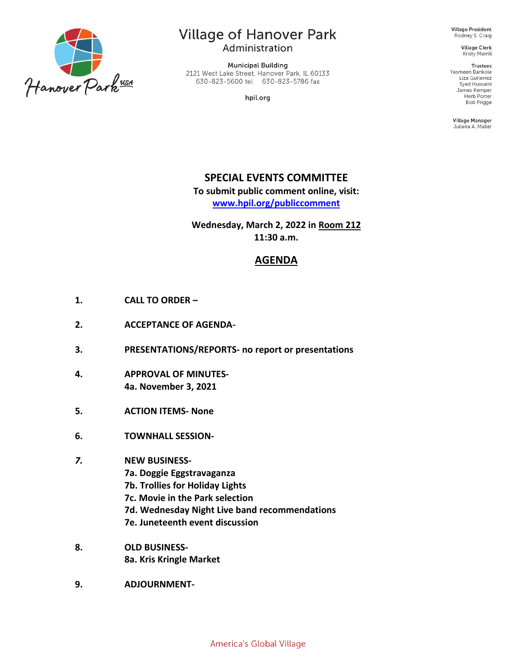

# **Village of Hanover Park**

Administration

**Municipal Building** 2121 West Lake Street, Hanover Park, IL 60133 630-823-5600 tel 630-823-5786 fax

hpil.org

**Village President** Rodney S. Craig

> **Village Clerk** Kristy Merrill

Trustees Yasmeen Bankole Liza Gutierrez Syed Hussaini James Kemper Herb Porter **Bob Prigge** 

Village Manager Juliana A. Maller

## **SPECIAL EVENTS COMMITTEE**

**To submit public comment online, visit: [www.hpil.org/publiccomment](https://www.hpil.org/publiccomment)**

**Wednesday, March 2, 2022 in Room 212 11:30 a.m.**

## **AGENDA**

- **1. CALL TO ORDER –**
- **2. ACCEPTANCE OF AGENDA-**
- **3. PRESENTATIONS/REPORTS- no report or presentations**
- **4. APPROVAL OF MINUTES-4a. November 3, 2021**
- **5. ACTION ITEMS- None**
- **6. TOWNHALL SESSION-**

#### *7.* **NEW BUSINESS-**

- **7a. Doggie Eggstravaganza**
- **7b. Trollies for Holiday Lights**
- **7c. Movie in the Park selection**
- **7d. Wednesday Night Live band recommendations**
- **7e. Juneteenth event discussion**
- **8. OLD BUSINESS-8a. Kris Kringle Market**
- **9. ADJOURNMENT-**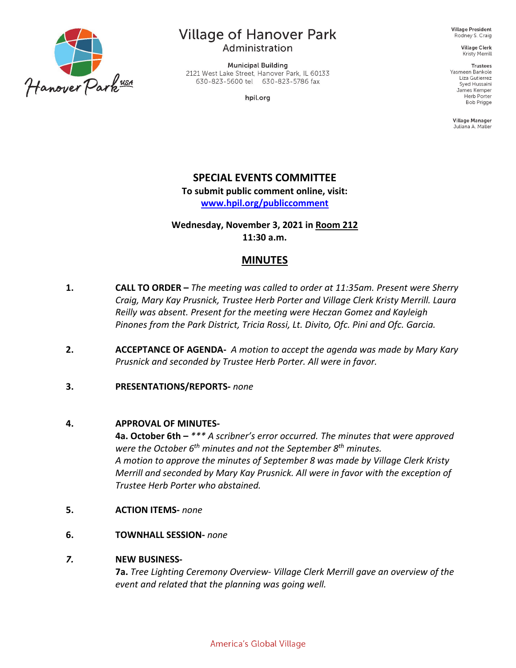

# **Village of Hanover Park**

Administration

**Municipal Building** 2121 West Lake Street, Hanover Park, IL 60133 630-823-5600 tel 630-823-5786 fax

hpil.org

**Village President** Rodney S. Craig

**Village Clerk** Kristy Merrill

**Trustees** Yasmeen Bankole Liza Gutierrez Syed Hussaini James Kemper Herb Porter **Bob Prigge** 

Village Manager Juliana A. Maller

## **SPECIAL EVENTS COMMITTEE**

**To submit public comment online, visit:**

**[www.hpil.org/publiccomment](https://www.hpil.org/publiccomment)**

**Wednesday, November 3, 2021 in Room 212 11:30 a.m.**

### **MINUTES**

- **1. CALL TO ORDER –** *The meeting was called to order at 11:35am. Present were Sherry Craig, Mary Kay Prusnick, Trustee Herb Porter and Village Clerk Kristy Merrill. Laura Reilly was absent. Present for the meeting were Heczan Gomez and Kayleigh Pinones from the Park District, Tricia Rossi, Lt. Divito, Ofc. Pini and Ofc. Garcia.*
- **2. ACCEPTANCE OF AGENDA-** *A motion to accept the agenda was made by Mary Kary Prusnick and seconded by Trustee Herb Porter. All were in favor.*

### **3. PRESENTATIONS/REPORTS-** *none*

#### **4. APPROVAL OF MINUTES-**

**4a. October 6th –** *\*\*\* A scribner's error occurred. The minutes that were approved were the October 6th minutes and not the September 8th minutes. A motion to approve the minutes of September 8 was made by Village Clerk Kristy Merrill and seconded by Mary Kay Prusnick. All were in favor with the exception of Trustee Herb Porter who abstained.*

- **5. ACTION ITEMS-** *none*
- **6. TOWNHALL SESSION-** *none*

#### *7.* **NEW BUSINESS-**

**7a.** *Tree Lighting Ceremony Overview- Village Clerk Merrill gave an overview of the event and related that the planning was going well.*